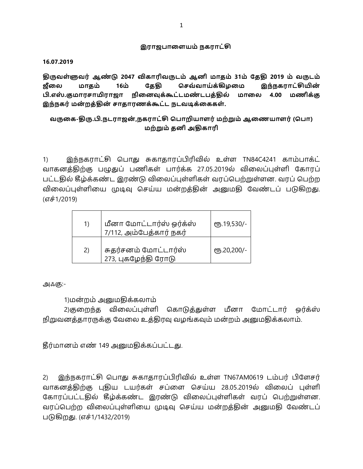### இராஜபாளையம் நகராட்சி

**16.07.2019**

 **2047 31 2019 16**  கேகி செவ்வாய்க்கிழமை இந்நகராட்சியின்  **. . 4.00**  இந்நகர் மன்றத்தின் சாதாரணக்கூட்ட நடவடிக்கைகள்.

# **- . . , ( )**  மற்றும் தனி அதிகாரி

1) இந்நகராட்சி பொது சுகாதாரப்பிரிவில் உள்ள TN84C4241 காம்பாக்ட் வாகனத்திற்கு பழுதுப் பணிகள் பார்க்க 27.05.2019ல் விலைப்புள்ளி கோரப் பட்டதில் கீழ்க்கண்ட இரண்டு விலைப்புள்ளிகள் வரப்பெற்றுள்ளன. வரப் பெற்ற விலைப்புள்ளியை முடிவு செய்ய மன்றத்தின் அனுமதி வேண்டப் படுகிறது. (எச்1/2019)

| 1)  | மீனா மோட்டார்ஸ் ஒர்க்ஸ்<br>7/112, அம்பேத்கார் நகர் | €Љ.19,530/-         |
|-----|----------------------------------------------------|---------------------|
| (2) | சுதர்சனம் மோட்டார்ஸ்<br>273, புகழேந்தி ரோடு        | <b>е</b> љ.20,200/- |

அஃகு:-

1)மன்றம் அனுமதிக்கலாம்

2)குறைந்த விலைப்புள்ளி கொடுத்துள்ள மீனா மோட்டார் ஒர்க்ஸ் நிறுவனத்தாரருக்கு வேலை உத்திரவு வழங்கவும் மன்றம் அனுமதிக்கலாம்.

தீர்மானம் எண் 149 அனுமதிக்கப்பட்டது.

2) இந்நகராட்சி பொது சுகாதாரப்பிரிவில் உள்ள TN67AM0619 டம்பர் பிளேசர் வாகனத்திற்கு புதிய டயர்கள் சப்ளை செய்ய 28.05.2019ல் விலைப் புள்ளி கோரப்பட்டதில் கீழ்க்கண்ட இரண்டு விலைப்புள்ளிகள் வரப் பெற்றுள்ளன. வரப்பெற்ற விலைப்புள்ளியை முடிவு செய்ய மன்றத்தின் அனுமதி வேண்டப் படுகிறது. (எச்1/1432/2019)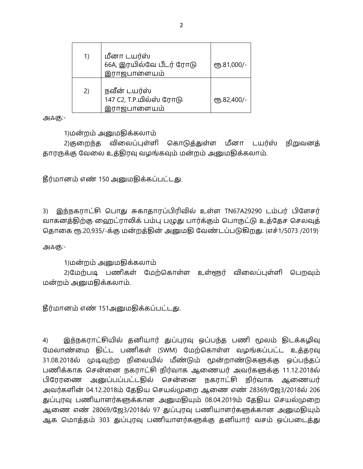| 1) | மீனா டயர்ஸ்<br>66A, இரயில்வே பீடர் ரோடு<br>இராஜபாளையம்       | СТБ.81,000/- |
|----|--------------------------------------------------------------|--------------|
| 2) | நவீன் டயர்ஸ்<br>147 C2, T.P.மில்ஸ் ரோடு<br>ராஜபாளையம்<br>(೨) | СТБ.82,400/- |

1)மன்றம் அனுமதிக்கலாம்

2)குறைந்த விலைப்புள்ளி கொடுத்துள்ள மீனா டயர்ஸ் நிறுவனத் தாரருக்கு வேலை உத்திரவு வழங்கவும் மன்றம் அனுமதிக்கலாம்.

தீர்மானம் எண் 150 அனுமதிக்கப்பட்டது.

3) இந்நகராட்சி பொது சுகாதாரப்பிரிவில் உள்ள TN67A29290 டம்பர் பிளேசர் வாகனத்திற்கு ஹைட்ராலிக் பம்பு பழுது பார்க்கும் பொருட்டு உத்தேச செலவுத் தொகை ரூ.20,935/-க்கு மன்றத்தின் அனுமதி வேண்டப்படுகிறது. (எச்1/5073 /2019)

அஃகு:-

1)மன்றம் அனுமதிக்கலாம்

2)மேற்படி பணிகள் மேற்கொள்ள உள்ளூர் விலைப்புள்ளி பெறவும் மன்றம் அனுமதிக்கலாம்.

தீர்மானம் எண் 151அனுமதிக்கப்பட்டது.

இந்நகராட்சியில் தனியார் துப்புரவு ஒப்பந்த பணி மூலம் திடக்கழிவு 4) மேலாண்மை திட்ட பணிகள் (SWM) மேற்கொள்ள வழங்கப்பட்ட உத்தரவு 31.08.2018ல் முடிவுற்ற நிலையில் மீண்டும் மூன்றாண்டுகளுக்கு ஒப்பந்தப் பணிக்காக சென்னை நகராட்சி நிர்வாக ஆணையர் அவர்களுக்கு 11.12.2018ல் பிரேரணை அனுப்பப்பட்டதில் சென்னை நகராட்சி நிர்வாக ஆணையர் அவர்களின் 04.12.2018ம் தேதிய செயல்முறை ஆணை எண் 28369/ஜே3/2018ல் 206 துப்புரவு பணியாளர்களுக்கான அனுமதியும் 08.04.2019ம் தேதிய செயல்முறை ஆணை எண் 28069/ஜே3/2018ல் 97 துப்புரவு பணியாளர்களுக்கான அனுமதியும் ஆக மொத்தம் 303 துப்புரவு பணியாளர்களுக்கு தனியார் வசம் ஒப்படைத்து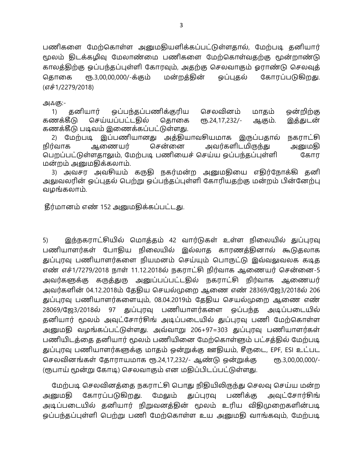பணிகளை மேற்கொள்ள அனுமதியளிக்கப்பட்டுள்ளதால், மேற்படி தனியார் மூலம் திடக்கழிவு மேலாண்மை பணிகளை மேற்கொள்வதற்கு மூன்றாண்டு காலத்திற்கு ஒப்பந்தப்புள்ளி கோரவும், அதற்கு செலவாகும் ஓராண்டு செலவுத் மன்றத்தின் ரூ.3,00,00,000/-க்கும் ஒப்புதல் கோரப்படுகிறது. தொகை (எச்1/2279/2018)

அஃகு:-

ஒப்பந்தப்பணிக்குரிய செலவினம் தனியார் ஒன்றிற்கு மாதம்  $1)$ கணக்கீடு செய்யப்பட்டதில் கொகை **e** Б.24, 17, 232/-இத்துடன் ஆகும். கணக்கீடு படிவம் இணைக்கப்பட்டுள்ளது.

2) மேற்படி இப்பணியானது அக்கியாவசியமாக இருப்பதால் நகராட்சி சென்னை அவர்களிடமிருந்து நிர்வாக ஆணையர் அனுமதி பெறப்பட்டுள்ளதாலும், மேற்படி பணியைச் செய்ய ஒப்பந்தப்புள்ளி கோர மன்றம் அனுமதிக்கலாம்.

3) அவசர அவசியம் கருதி நகர்மன்ற அனுமதியை எதிர்நோக்கி தனி அலுவலரின் ஒப்புதல் பெற்று ஒப்பந்தப்புள்ளி கோரியதற்கு மன்றம் பின்னேற்பு வழங்கலாம்.

தீர்மானம் எண் 152 அனுமதிக்கப்பட்டது.

இந்நகராட்சியில் மொத்தம் 42 வார்டுகள் உள்ள நிலையில் துப்புரவு 5) பணியாளர்கள் போதிய நிலையில் இல்லாத காரணத்தினால் கூடுதலாக துப்புரவு பணியாளர்களை நியமனம் செய்யும் பொருட்டு இவ்வலுவலக கடித எண் எச்1/7279/2018 நாள் 11.12.2018ல் நகராட்சி நிர்வாக ஆணையர் சென்னை-5 அவர்களுக்கு கருத்துரு அனுப்பப்பட்டதில் நகராட்சி நிர்வாக ஆணையர் அவர்களின் 04.12.2018ம் தேதிய செயல்முறை ஆணை எண் 28369/ஜே3/2018ல் 206 துப்புரவு பணியாளர்களையும், 08.04.2019ம் தேதிய செயல்முறை ஆணை எண் 28069/ஜே3/2018ல் 97 துப்புரவு பணியாளர்களை ஒப்பந்த அடிப்படையில் தனியார் மூலம் அவுட்சோர்சிங் அடிப்படையில் துப்புரவு பணி மேற்கொள்ள அனுமதி வழங்கப்பட்டுள்ளது. அவ்வாறு 206+97=303 துப்புரவு பணியாளர்கள் பணியிடத்தை தனியார் மூலம் பணியினை மேற்கொள்ளும் பட்சத்தில் மேற்படி துப்புரவு பணியாளர்களுக்கு மாதம் ஒன்றுக்கு ஊதியம், சீருடை, EPF, ESI உட்பட செலவினங்கள் தோராயமாக ரூ.24,17,232/- ஆண்டு ஒன்றுக்கு еть.3,00,00,000/-(ரூபாய் மூன்று கோடி) செலவாகும் என மதிப்பிடப்பட்டுள்ளது.

மேற்படி செலவினத்தை நகராட்சி பொது நிதியிலிருந்து செலவு செய்ய மன்ற கோரப்படுகிறது. மேலும் துப்புரவு பணிக்கு அனுமகி அவுட்சோர்சிங் அடிப்படையில் தனியார் நிறுவனத்தின் மூலம் உரிய விதிமுறைகளின்படி ஒப்பந்தப்புள்ளி பெற்று பணி மேற்கொள்ள உய அனுமதி வாங்கவும், மேற்படி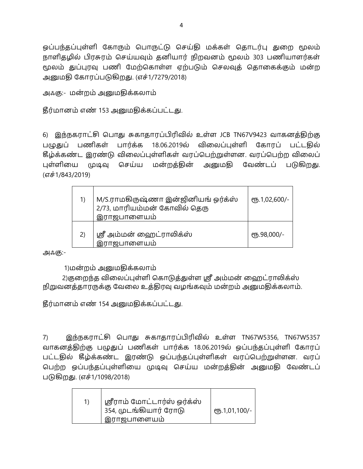ஒப்பந்தப்புள்ளி கோரும் பொருட்டு செய்தி மக்கள் தொடர்பு துறை மூலம் நாளிதழில் பிரசுரம் செய்யவும் தனியார் நிறவனம் மூலம் 303 பணியாளர்கள் மூலம் துப்புரவு பணி மேற்கொள்ள ஏற்படும் செலவுத் தொகைக்கும் மன்ற அனுமதி கோரப்படுகிறது. (எச்1/7279/2018)

அஃகு:- மன்றம் அனுமதிக்கலாம்

தீர்மானம் எண் 153 அனுமதிக்கப்பட்டது.

6) இந்நகராட்சி பொது சுகாதாரப்பிரிவில் உள்ள JCB TN67V9423 வாகனத்திற்கு பழுதுப் பணிகள் பார்க்க 18.06.2019ல் விலைப்புள்ளி கோரப் பட்டதில் கீழ்க்கண்ட இரண்டு விலைப்புள்ளிகள் வரப்பெற்றுள்ளன. வரப்பெற்ற விலைப் புள்ளியை முடிவு செய்ய மன்றத்தின் அனுமதி வேண்டப் படுகிறது. (எச்1/843/2019)

|    | M/S.ராமகிருஷ்ணா இன்ஜினியங் ஒர்க்ஸ்<br>2/73, மாரியம்மன் கோவில் தெரு<br>இராஜபாளையம் | ரூ.1,02,600/- |
|----|-----------------------------------------------------------------------------------|---------------|
| 2) | ஸ்ரீ அம்மன் ஹைட்ராலிக்ஸ்<br>இராஜபாளையம்                                           | ரூ.98,000/-   |

அஃகு:-

1)மன்றம் அனுமதிக்கலாம்

2)குறைந்த விலைப்புள்ளி கொடுத்துள்ள ஸ்ரீ அம்மன் வைறட்ராலிக்ஸ் நிறுவனத்தாரருக்கு வேலை உத்திரவு வழங்கவும் மன்றம் அனுமதிக்கலாம்.

தீர்மானம் எண் 154 அனுமதிக்கப்பட்டது.

7) இந்நகராட்சி பொது சுகாதாரப்பிரிவில் உள்ள TN67W5356, TN67W5357 வாகனத்திற்கு பழுதுப் பணிகள் பார்க்க 18.06.2019ல் ஒப்பந்தப்புள்ளி கோரப் பட்டதில் கீழ்க்கண்ட இரண்டு ஒப்பந்தப்புள்ளிகள் வரப்பெற்றுள்ளன. வரப் பெற்ற ஒப்பந்தப்புள்ளியை முடிவு செய்ய மன்றத்தின் அனுமதி வேண்டப் படுகிறது. (எச்1/1098/2018)

| ஸ்ரீராம் மோட்டார்ஸ் ஒர்க்ஸ்<br>354, முடங்கியார் ரோடு | <b>е</b> ҧ.1,01,100/- |
|------------------------------------------------------|-----------------------|
| இராஜபாளையம்                                          |                       |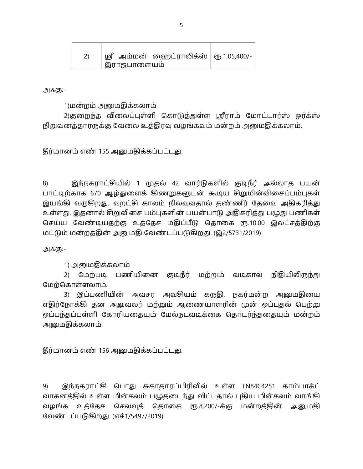| ஸ்ரீ அம்மன் ஹைட்ராலிக்ஸ்   ரூ.1,05,400/-<br>' இராஜபாளையம் |  |
|-----------------------------------------------------------|--|
|                                                           |  |

1)மன்றம் அனுமதிக்கலாம்

2)குறைந்த விலைப்புள்ளி கொடுத்துள்ள ஸ்ரீராம் மோட்டார்ஸ் ஒர்க்ஸ் நிறுவனத்தாரருக்கு வேலை உத்திரவு வழங்கவும் மன்றம் அனுமதிக்கலாம்.

தீர்மானம் எண் 155 அனுமதிக்கப்பட்டது.

8) இந்நகராட்சியில் 1 முதல் 42 வார்டுகளில் குடிநீர் அல்லாத பயன் பாட்டிற்காக 670 ஆழ்துளைக் கிணறுகளுடன் கூடிய சிறுமின்விசைப்பம்புகள் இயங்கி வருகிறது. வறட்சி காலம் நிலவுவதால் தண்ணீர் தேவை அதிகரித்து உள்ளது. இதனால் சிறுவிசை பம்புகளின் பயன்பாடு அதிகரித்து பழுது பணிகள் செய்ய வேண்டியதற்கு உத்தேச மதிப்பீடு தொகை ரூ.10.00 இலட்சத்திற்கு மட்டும் மன்றத்தின் அனுமதி வேண்டப்படுகிறது. (இ2/5731/2019)

அஃகு:-

1) அனுமதிக்கலாம்

2) மேற்படி பணியினை குடிநீர் மற்றும் வடிகால் நிதியிலிருந்து மேற்கொள்ளலாம்.

3) இப்பணியின் அவசர அவசியம் கருதி, நகர்மன்ற அனுமதியை எதிர்நோக்கி தன அலுவலர் மற்றும் ஆணையாளரின் முன் ஒப்புதல் பெற்று ஒப்பந்தப்புள்ளி கோரியதையும் மேல்நடவடிக்கை தொடர்ந்ததையும் மன்றம் அனுமதிக்கலாம்.

தீர்மானம் எண் 156 அனுமதிக்கப்பட்டது.

9) இந்நகராட்சி பொது சுகாதாரப்பிரிவில் உள்ள TN84C4251 காம்பாக்ட் வாகனத்தில் உள்ள மின்கலம் பழுதடைந்து விட்டதால் புதிய மின்கலம் வாங்கி வழங்க உத்தேச செலவுத் தொகை ரூ.8,200/-க்கு மன்றத்தின் அனுமதி வேண்டப்படுகிறது. (எச்1/5497/2019)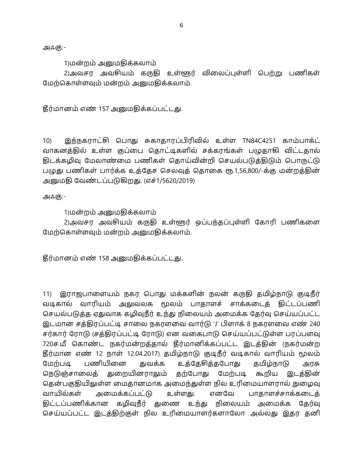1)மன்றம் அனுமதிக்கலாம்

2)அவசர அவசியம் கருதி உள்ளூர் விலைப்புள்ளி பெற்று பணிகள் மேற்கொள்ளவும் மன்றம் அனுமதிக்கலாம்.

தீர்மானம் எண் 157 அனுமதிக்கப்பட்டது.

இந்நகராட்சி பொது சுகாதாரப்பிரிவில் உள்ள TN84C4251 காம்பாக்ட்  $10<sub>0</sub>$ வாகனத்தில் உள்ள குப்பை தொட்டிகளில் சக்கரங்கள் பழுதாகி விட்டதால் திடக்கழிவு மேலாண்மை பணிகள் தொய்வின்றி செயல்படுத்திடும் பொருட்டு பழுது பணிகள் பார்க்க உத்தேச செலவுத் தொகை ரூ.1,56,800/-க்கு மன்றத்தின் அனுமதி வேண்டப்படுகிறது. (எச்1/5620/2019)

அஃகு:-

1)மன்றம் அனுமதிக்கலாம்

2)அவசர அவசியம் கருதி உள்ளூர் ஒப்பந்தப்புள்ளி கோரி பணிகளை மேற்கொள்ளவும் மன்றம் அனுமதிக்கலாம்.

தீர்மானம் எண் 158 அனுமதிக்கப்பட்டது.

11) இராஜபாளையம் நகர பொது மக்களின் நலன் கருதி தமிழ்நாடு குடிநீர் வடிகால் வாரியம் அலுவலக மூலம் பாதாளச் சாக்கடைத் திட்டப்பணி செயல்படுத்த ஏதுவாக கழிவுநீர் உந்து நிலையம் அமைக்க தேர்வு செய்யப்பட்ட இடமான சத்திரப்பட்டி சாலை நகரளவை வார்டு 'J' பிளாக் 8 நகரளவை எண் 240 சர்கார் ரோடு (சத்திரப்பட்டி ரோடு) என வகைபாடு செய்யப்பட்டுள்ள பரப்பளவு 720ச.மீ கொண்ட நகர்மன்றத்தால் தீர்மானிக்கப்பட்ட இடத்தின் (நகர்மன்ற தீர்மான எண் 12 நாள் 12.04.2017) தமிழ்நாடு குடிநீர் வடிகால் வாரியம் மூலம் பணியினை மேற்படி துவக்க உத்தேசித்தபோது கமிழ்நாடு அரசு நெடுஞ்சாலைத் துறையினராலும் தற்போது மேற்படி கூறிய இடத்தின் தென்பகுதியிலுள்ள மைதானமாக அமைந்துள்ள நில உரிமையாளரால் நுழைவு வாயில்கள் அமைக்கப்பட்டு உள்ளது. எனவே பாதாளச்சாக்கடைத் திட்டப்பணிக்கான கழிவுநீர் துணை உந்து நிலையம் அமைக்க தேர்வு செய்யப்பட்ட இடத்திற்குள் நில உரிமையாளர்களாலோ அல்லது இதர தனி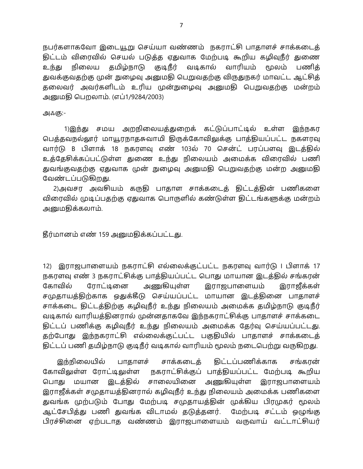நபர்களாகவோ இடையூறு செய்யா வண்ணம் நகராட்சி பாதாளச் சாக்கடைத் திட்டம் விரைவில் செயல் படுத்த ஏதுவாக மேற்படி கூறிய கழிவுநீர் துணை உந்து நிலைய தமிழ்நாடு குடிநீர் வடிகால் வாரியம் மூலம் பணித் துவக்குவதற்கு முன் நுழைவு அனுமதி பெறுவதற்கு விருதுநகர் மாவட்ட ஆட்சித் தலைவர் அவர்களிடம் உரிய முன்நுழைவு அனுமதி பெறுவதற்கு மன்றம் அனுமதி பெறலாம். (எப்1/9284/2003)

அஃகு:-

1)இந்து சமய அறநிலையத்துறைக் கட்டுப்பாட்டில் உள்ள இந்நகர பெத்தவநல்லூர் மாயூரநாதசுவாமி திருக்கோவிலுக்கு பாத்தியப்பட்ட நகளரவு வார்டு B பிளாக் 18 நகரளவு எண் 103ல் 70 சென்ட் பரப்பளவு இடத்தில் உத்தேசிக்கப்பட்டுள்ள துணை உந்து நிலையம் அமைக்க விரைவில் பணி துவங்குவதற்கு ஏதுவாக முன் நுழைவு அனுமதி பெறுவதற்கு மன்ற அனுமதி வேண்டப்படுகிறது.

2)அவசர அவசியம் கருதி பாதாள சாக்கடைத் திட்டத்தின் பணிகளை விரைவில் முடிப்பதற்கு ஏதுவாக பொருளில் கண்டுள்ள திட்டங்களுக்கு மன்றம் அனுமதிக்கலாம்.

தீர்மானம் எண் 159 அனுமதிக்கப்பட்டது.

12) இராஜபாளையம் நகராட்சி எல்லைக்குட்பட்ட நகரளவு வார்டு | பிளாக் 17 நகரளவு எண் 3 நகராட்சிக்கு பாத்தியப்பட்ட பொது மாயான இடத்தில் சங்கரன் அணுகியுள்ள கோவில் ரோட்டினை இராஜபாளையம் இராஜீக்கள் சமுதாயத்திற்காக ஒதுக்கீடு செய்யப்பட்ட மாயான இடத்தினை பாதாளச் சாக்கடை திட்டத்திற்கு கழிவுநீர் உந்து நிலையம் அமைக்க தமிழ்நாடு குடிநீர் வடிகால் வாரியத்தினரால் முன்னதாகவே இந்நகராட்சிக்கு பாதாளச் சாக்கடை திட்டப் பணிக்கு கழிவுநீர் உந்து நிலையம் அமைக்க தேர்வு செய்யப்பட்டது. தற்போது இந்நகராட்சி எல்லைக்குட்பட்ட பகுதியில் பாதாளச் சாக்கடைத் திட்டப் பணி தமிழ்நாடு குடிநீர் வடிகால் வாரியம் மூலம் நடைபெற்று வருகிறது.

திட்டப்பணிக்காக இந்நிலையில் பாதாளச் சாக்கடைக் சங்கரன் கோவிலுள்ள ரோட்டிலுள்ள நகராட்சிக்குப் பாத்தியப்பட்ட மேற்படி கூறிய சாலையினை அணுகியுள்ள இராஜபாளையம் பொது மயான இடத்தில் இராஜீக்கள் சமுதாயத்தினரால் கழிவுநீர் உந்து நிலையம் அமைக்க பணிகளை துவங்க முற்படும் போது மேற்படி சமுதாயத்தின் முக்கிய பிரமுகர் மூலம் ஆட்சேபித்து பணி துவங்க விடாமல் தடுத்தனர். மேற்படி சட்டம் ஒழுங்கு பிரச்சினை ஏற்படாத வண்ணம் இராஜபாளையம் வருவாய் வட்டாட்சியர்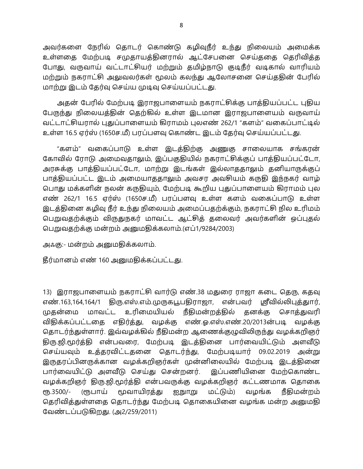அவர்களை நேரில் தொடர் கொண்டு கழிவுநீர் உந்து நிலையம் அமைக்க உள்ளதை மேற்படி சமுதாயத்தினரால் ஆட்சேபனை செய்ததை தெரிவித்த போது, வருவாய் வட்டாட்சியர் மற்றும் தமிழ்நாடு குடிநீர் வடிகால் வாரியம் மற்றும் நகராட்சி அலுவலர்கள் மூலம் கலந்து ஆலோசனை செய்ததின் பேரில் மாற்று இடம் தேர்வு செய்ய முடிவு செய்யப்பட்டது.

அதன் பேரில் மேற்படி இராஜபாளையம் நகராட்சிக்கு பாத்தியப்பட்ட புதிய பேருந்து நிலையத்தின் தெற்கில் உள்ள இடமான இராஜபாளையம் வருவாய் வட்டாட்சியரால் புதுப்பாளையம் கிராமம் புலஎண் 262/1 "களம்" வகைப்பாட்டில் உள்ள 16.5 ஏர்ஸ் (1650ச.மீ) பரப்பளவு கொண்ட இடம் தேர்வு செய்யப்பட்டது.

"களம்" வகைப்பாடு உள்ள இடத்திற்கு அணுகு சாலையாக சங்கரன் கோவில் ரோடு அமைவதாலும், இப்பகுதியில் நகராட்சிக்குப் பாத்தியப்பட்டோ, அரசுக்கு பாத்தியப்பட்டோ, மாற்று இடங்கள் இல்லாததாலும் தனியாருக்குப் பாத்தியப்பட்ட இடம் அமையாததாலும் அவசர அவசியம் கருதி இந்நகர் வாழ் பொது மக்களின் நலன் கருதியும், மேற்படி கூறிய புதுப்பாளையம் கிராமம் புல எண் 262/1 16.5 ஏர்ஸ் (1650ச.மீ) பரப்பளவு உள்ள களம் வகைப்பாடு உள்ள இடத்தினை கழிவு நீர் உந்து நிலையம் அமைப்பதற்க்கும், நகராட்சி நில உரிமம் பெறுவதற்க்கும் விருதுநகர் மாவட்ட ஆட்சித் தலைவர் அவர்களின் ஒப்புதல் பெறுவதற்க்கு மன்றம் அனுமதிக்கலாம்.(எப்1/9284/2003)

அஃகு:- மன்றம் அனுமதிக்கலாம்.

தீர்மானம் எண் 160 அனுமதிக்கப்பட்டது.

13) இராஜபாளையம் நகராட்சி வார்டு எண்.38 மதுரை ராஜா கடை தெரு, கதவு எண்.163,164,164/1 திரு.எஸ்.எம்.முருகபூபதிராஜா, என்பவர் ஸ்ரீவில்லிபுத்தார், மாவட்ட உரிமையியல் நீதிமன்றத்தில் தனக்கு சொத்துவரி முதன்மை விதிக்கப்பட்டதை எதிர்த்து, வழக்கு எண்.ஓ.எஸ்.எண்.20/2013ன்படி வழக்கு தொடர்ந்துள்ளார். இவ்வழக்கில் நீதிமன்ற ஆணைக்குழுவிலிருந்து வழக்கறிஞர் திரு.ஜி.மூர்த்தி என்பவரை, மேற்படி இடத்தினை பார்வையிட்டும் அளவீடு செய்யவும் உத்தரவிட்டதனை தொடர்ந்து, மேற்படியார் 09.02.2019 அன்று இருதரப்பினருக்கான வழக்கறிஞர்கள் முன்னிலையில் மேற்படி இடத்தினை பார்வையிட்டு அளவீடு செய்து சென்றனர். இப்பணியினை மேற்கொண்ட வழக்கறிஞர் திரு.ஜி.மூர்த்தி என்பவருக்கு வழக்கறிஞர் கட்டணமாக தொகை ரூ.3500/- (ரூபாய் மூவாயிரக்து ஐநுாறு மட்டும்) வழங்க நீதிமன்றம் தெரிவித்துள்ளதை தொடர்ந்து மேற்படி தொகையினை வழங்க மன்ற அனுமதி வேண்டப்படுகிறது. (அ2/259/2011)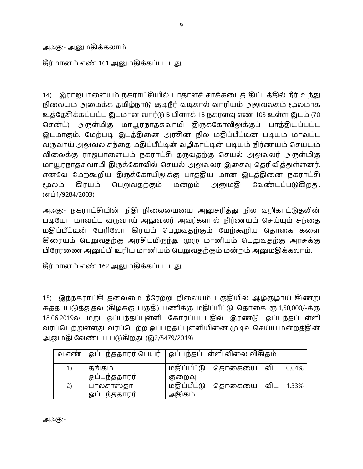அஃகு:- அனுமதிக்கலாம்

தீர்மானம் எண் 161 அனுமதிக்கப்பட்டது.

14) இராஜபாளையம் நகராட்சியில் பாதாளச் சாக்கடைத் திட்டத்தில் நீர் உந்து நிலையம் அமைக்க தமிழ்நாடு குடிநீர் வடிகால் வாரியம் அலுவலகம் மூலமாக உத்தேசிக்கப்பட்ட இடமான வார்டு B பிளாக் 18 நகரளவு எண் 103 உள்ள இடம் (70 சென்ட்) அருள்மிகு மாயூரநாதசுவாமி திருக்கோவிலுக்குப் பாக்தியப்பட்ட இடமாகும். மேற்படி இடத்தினை அரசின் நில மதிப்பீட்டின் படியும் மாவட்ட வருவாய் அலுவல சந்தை மதிப்பீட்டின் வழிகாட்டின் படியும் நிர்ணயம் செய்யும் விலைக்கு ராஜபாளையம் நகராட்சி தருவதற்கு செயல் அலுவலர் அருள்மிகு மாயூரநாதசுவாமி திருக்கோவில் செயல் அலுவலர் இசைவு தெரிவித்துள்ளனர். எனவே மேற்கூறிய திருக்கோயிலுக்கு பாத்திய மான இடத்தினை நகராட்சி மூலம் கிரயம் பெறுவதற்கும் மன்றம் அனுமகி வேண்டப்படுகிறது. (எப்1/9284/2003)

அஃகு:- நகராட்சியின் நிதி நிலைமையை அனுசரித்து நில வழிகாட்டுதலின் படியோ மாவட்ட வருவாய் அலுவலர் அவர்களால் நிர்ணயம் செய்யும் சந்தை மதிப்பீட்டின் பேரிலோ கிரயம் பெறுவதற்கும் மேற்கூறிய தொகை களை கிரையம் பெறுவதற்கு அரசிடமிருந்து முழு மானியம் பெறுவதற்கு அரசுக்கு பிரேரணை அனுப்பி உரிய மானியம் பெறுவதற்கும் மன்றம் அனுமதிக்கலாம்.

தீர்மானம் எண் 162 அனுமதிக்கப்பட்டது.

15) இந்நகராட்சி தலைமை நீரேற்று நிலையம் பகுதியில் ஆழ்குழாய் கிணறு சுத்தப்படுத்துதல் (கிழக்கு பகுதி) பணிக்கு மதிப்பீட்டு தொகை ரூ.1,50,000/-க்கு 18.06.2019ல் மறு ஒப்பந்தப்புள்ளி கோரப்பட்டதில் இரண்டு ஒப்பந்தப்புள்ளி வரப்பெற்றுள்ளது. வரப்பெற்ற ஒப்பந்தப்புள்ளியினை முடிவு செய்ய மன்றத்தின் அனுமதி வேண்டப் படுகிறது. (இ2/5479/2019)

| வ.எண்                                          | ஒப்பந்ததாரர் பெயர் |             | ஒப்பந்தப்புள்ளி விலை விகிதம் |     |       |
|------------------------------------------------|--------------------|-------------|------------------------------|-----|-------|
| $\left( \begin{matrix} 1 \end{matrix} \right)$ | தங்கம்             | மகிப்பீட்டு | தொகையை விட                   |     | 0.04% |
|                                                | ஒப்பந்ததாரர்       | குறைவு      |                              |     |       |
| 2)                                             | பாலசாஸ்தா          | மதிப்பீட்டு | தொகையை                       | விட | 1.33% |
|                                                | ஒப்பந்ததாரர்       | அதிகம்      |                              |     |       |

அஃகு:-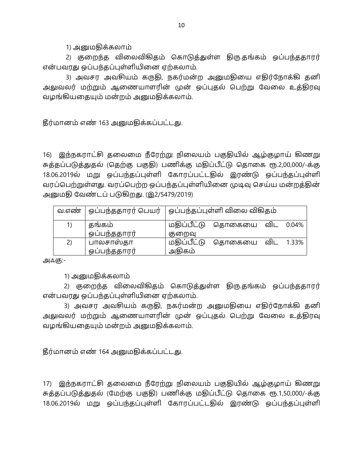1) அனுமதிக்கலாம்

2) குறைந்த விலைவிகிதம் கொடுத்துள்ள திரு.தங்கம் ஒப்பந்ததாரர் என்பவரது ஒப்பந்தப்புள்ளியினை ஏற்கலாம்.

3) அவசர அவசியம் கருதி, நகர்மன்ற அனுமதியை எதிர்நோக்கி தனி அலுவலர் மற்றும் ஆணையாளரின் முன் ஒப்புதல் பெற்று வேலை உத்திரவு வழங்கியதையும் மன்றம் அனுமதிக்கலாம்.

தீர்மானம் எண் 163 அனுமதிக்கப்பட்டது.

16) இந்நகராட்சி தலைமை நீரேற்று நிலையம் பகுதியில் ஆழ்குழாய் கிணறு சுத்தப்படுத்துதல் (தெற்கு பகுதி) பணிக்கு மதிப்பீட்டு தொகை ரூ.2,00,000/-க்கு 18.06.2019ல் மறு ஒப்பந்தப்புள்ளி கோரப்பட்டதில் இரண்டு ஒப்பந்தப்புள்ளி வரப்பெற்றுள்ளது. வரப்பெற்ற ஒப்பந்தப்புள்ளியினை முடிவு செய்ய மன்றத்தின் அனுமதி வேண்டப் படுகிறது. (இ2/5479/2019)

| வ.எண் | ஒப்பந்ததாரர் பெயர்   ஒப்பந்தப்புள்ளி விலை விகிதம் |             |        |     |           |
|-------|---------------------------------------------------|-------------|--------|-----|-----------|
| 1)    | தங்கம்                                            | மகிப்பீட்டு | தொகையை |     | விட 0.04% |
|       | ஒப்பந்ததாரர்                                      | குறைவு      |        |     |           |
| 2)    | பாலசாஸ்தா                                         | மதிப்பீட்டு | தொகையை | விட | 1.33%     |
|       | ஒப்பந்ததாரர்                                      | அதிகம்      |        |     |           |

அஃகு:-

1) அனுமதிக்கலாம்

2) குறைந்த விலைவிகிதம் கொடுத்துள்ள திரு.தங்கம் ஒப்பந்ததாரர் என்பவரது ஒப்பந்தப்புள்ளியினை ஏற்கலாம்.

3) அவசர அவசியம் கருதி, நகர்மன்ற அனுமதியை எதிர்நோக்கி தனி அலுவலர் மற்றும் ஆணையாளரின் முன் ஒப்புதல் பெற்று வேலை உத்திரவு வழங்கியதையும் மன்றம் அனுமதிக்கலாம்.

தீர்மானம் எண் 164 அனுமதிக்கப்பட்டது.

17) இந்நகராட்சி தலைமை நீரேற்று நிலையம் பகுதியில் ஆழ்குழாய் கிணறு சுத்தப்படுத்துதல் (மேற்கு பகுதி) பணிக்கு மதிப்பீட்டு தொகை ரூ.1,50,000/-க்கு 18.06.2019ல் மறு ஒப்பந்தப்புள்ளி கோரப்பட்டதில் இரண்டு ஒப்பந்தப்புள்ளி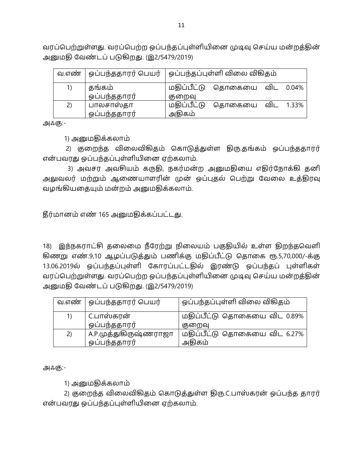வரப்பெற்றுள்ளது. வரப்பெற்ற ஒப்பந்தப்புள்ளியினை முடிவு செய்ய மன்றத்தின் அனுமதி வேண்டப் படுகிறது. (இ2/5479/2019)

|    | வ.எண்   ஓப்பந்ததாரர் பெயர்   ஓப்பந்தப்புள்ளி விலை விகிதம் |             |        |     |       |
|----|-----------------------------------------------------------|-------------|--------|-----|-------|
| 1) | கங்கம்                                                    | மதிப்பீட்டு | தொகையை | விட | 0.04% |
|    | ஒப்பந்ததாரர்                                              | குறைவு      |        |     |       |
| 2) | பாலசாஸ்தா                                                 | மதிப்பீட்டு | தொகையை | விட | 1.33% |
|    | ஒப்பந்ததாரர்                                              | அதிகம்      |        |     |       |

அஃகு:-

1) அனுமதிக்கலாம்

2) குறைந்த விலைவிகிதம் கொடுத்துள்ள திரு.தங்கம் ஒப்பந்ததாரர் என்பவரது ஒப்பந்தப்புள்ளியினை ஏற்கலாம்.

3) அவசர அவசியம் கருதி, நகர்மன்ற அனுமதியை எதிர்நோக்கி தனி அலுவலர் மற்றும் ஆணையாளரின் முன் ஒப்புதல் பெற்று வேலை உத்திரவு வழங்கியதையும் மன்றம் அனுமதிக்கலாம்.

தீர்மானம் எண் 165 அனுமதிக்கப்பட்டது.

18) இந்நகராட்சி தலைமை நீரேற்று நிலையம் பகுதியில் உள்ள திறந்தவெளி கிணறு எண்.9,10 ஆழப்படுத்தும் பணிக்கு மதிப்பீட்டு தொகை ரூ.5,70,000/-க்கு 13.06.2019ல் ஒப்பந்தப்புள்ளி கோரப்பட்டதில் இரண்டு ஒப்பந்தப் புள்ளிகள் வரப்பெற்றுள்ளது. வரப்பெற்ற ஒப்பந்தப்புள்ளியினை முடிவு செய்ய மன்றத்தின் அனுமதி வேண்டப் படுகிறது. (இ2/5479/2019)

| வ.எண் | ஒப்பந்ததாரர் பெயர்    | ஒப்பந்தப்புள்ளி விலை விகிதம் |
|-------|-----------------------|------------------------------|
| 1)    | . C.பாஸ்கரன்          | மதிப்பீட்டு தொகையை விட 0.89% |
|       | ஒப்பந்ததாரர்          | குறைவு                       |
| 2)    | A.P.முத்துகிருஷ்ணராஜா | மதிப்பீட்டு தொகையை விட 6.27% |
|       | ஒப்பந்ததாரர்          | அதிகம்                       |

அஃகு:-

1) அனுமதிக்கலாம்

2) குறைந்த விலைவிகிதம் கொடுத்துள்ள திரு.C.பாஸ்கரன் ஒப்பந்த தாரர் என்பவரது ஒப்பந்தப்புள்ளியினை ஏற்கலாம்.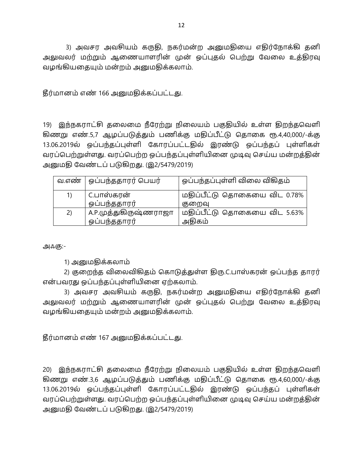3) அவசர அவசியம் கருதி, நகர்மன்ற அனுமதியை எதிர்நோக்கி தனி அலுவலர் மற்றும் ஆணையாளரின் முன் ஒப்புதல் பெற்று வேலை உத்திரவு வழங்கியதையும் மன்றம் அனுமதிக்கலாம்.

தீர்மானம் எண் 166 அனுமதிக்கப்பட்டது.

19) இந்நகராட்சி கலைமை நீரேற்று நிலையம் பகுதியில் உள்ள திறந்தவெளி கிணறு எண்.5,7 ஆழப்படுத்தும் பணிக்கு மதிப்பீட்டு தொகை ரூ.4,40,000/-க்கு 13.06.2019ல் ஒப்பந்தப்புள்ளி கோரப்பட்டதில் இரண்டு ஒப்பந்தப் புள்ளிகள் வரப்பெற்றுள்ளது. வரப்பெற்ற ஒப்பந்தப்புள்ளியினை முடிவு செய்ய மன்றத்தின் அனுமதி வேண்டப் படுகிறது. (இ2/5479/2019)

|    | வ.எண்   ஒப்பந்ததாரர் பெயர் | ஒப்பந்தப்புள்ளி விலை விகிதம் |
|----|----------------------------|------------------------------|
| 1) | C.பாஸ்கரன்                 | மதிப்பீட்டு தொகையை விட 0.78% |
|    | ஒப்பந்ததாரர்               | குறைவு                       |
| 2) | A.P.முத்துகிருஷ்ணராஜா      | மதிப்பீட்டு தொகையை விட 5.63% |
|    | ஒப்பந்ததாரர்               | அதிகம்                       |

அஃகு:-

1) அனுமதிக்கலாம்

2) குறைந்த விலைவிகிதம் கொடுத்துள்ள திரு.C.பாஸ்கரன் ஒப்பந்த தாரர் என்பவரது ஒப்பந்தப்புள்ளியினை ஏற்கலாம்.

3) அவசர அவசியம் கருதி, நகர்மன்ற அனுமதியை எதிர்நோக்கி தனி அலுவலர் மற்றும் ஆணையாளரின் முன் ஒப்புதல் பெற்று வேலை உத்திரவு வழங்கியதையும் மன்றம் அனுமதிக்கலாம்.

தீர்மானம் எண் 167 அனுமதிக்கப்பட்டது.

20) இந்நகராட்சி தலைமை நீரேற்று நிலையம் பகுதியில் உள்ள திறந்தவெளி கிணறு எண்.3,6 ஆழப்படுத்தும் பணிக்கு மதிப்பீட்டு தொகை ரூ.4,60,000/-க்கு 13.06.2019ல் ஒப்பந்தப்புள்ளி கோரப்பட்டதில் இரண்டு ஒப்பந்தப் புள்ளிகள் வரப்பெற்றுள்ளது. வரப்பெற்ற ஒப்பந்தப்புள்ளியினை முடிவு செய்ய மன்றத்தின் அனுமதி வேண்டப் படுகிறது. (இ2/5479/2019)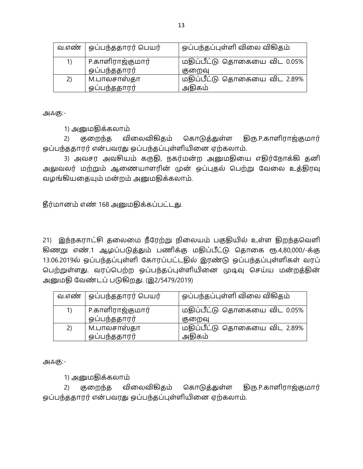|    | வ.எண்   ஒப்பந்ததாரர் பெயர் | ஒப்பந்தப்புள்ளி விலை விகிதம் |
|----|----------------------------|------------------------------|
| 1) | P.காளிராஜ்குமார்           | மதிப்பீட்டு தொகையை விட 0.05% |
|    | ஒப்பந்ததாரர்               | குறைவு                       |
| 2) | 1.பாலசாஸ்தா                | மதிப்பீட்டு தொகையை விட 2.89% |
|    | ஒப்பந்ததாரர்               | அதிகம்                       |

1) அனுமதிக்கலாம்

2) குறைந்த விலைவிகிதம் கொடுத்துள்ள திரு.P.காளிராஜ்குமார் ஒப்பந்ததாரர் என்பவரது ஒப்பந்தப்புள்ளியினை ஏற்கலாம்.

3) அவசர அவசியம் கருதி, நகர்மன்ற அனுமதியை எதிர்நோக்கி தனி அலுவலர் மற்றும் ஆணையாளரின் முன் ஒப்புதல் பெற்று வேலை உத்திரவு வழங்கியதையும் மன்றம் அனுமதிக்கலாம்.

தீர்மானம் எண் 168 அனுமதிக்கப்பட்டது.

21) இந்நகராட்சி தலைமை நீரேற்று நிலையம் பகுதியில் உள்ள திறந்தவெளி கிணறு எண்.1 ஆழப்படுத்தும் பணிக்கு மதிப்பீட்டு தொகை ரூ.4,80,000/-க்கு 13.06.2019ல் ஒப்பந்தப்புள்ளி கோரப்பட்டதில் இரண்டு ஒப்பந்தப்புள்ளிகள் வரப் பெற்றுள்ளது. வரப்பெற்ற ஒப்பந்தப்புள்ளியினை முடிவு செய்ய மன்றத்தின் அனுமதி வேண்டப் படுகிறது. (இ2/5479/2019)

|    | வ.எண்   ஒப்பந்ததாரர் பெயர் | ஒப்பந்தப்புள்ளி விலை விகிதம் |
|----|----------------------------|------------------------------|
| 1) | P.காளிராஜ்குமார்           | மதிப்பீட்டு தொகையை விட 0.05% |
|    | ஒப்பந்ததாரர்               | குறைவு                       |
| 2) | M.பாலசாஸ்தா                | மதிப்பீட்டு தொகையை விட 2.89% |
|    | ஒப்பந்ததாரர்               | அதிகம்                       |

அஃகு:-

1) அனுமதிக்கலாம்

2) குறைந்த விலைவிகிதம் கொடுத்துள்ள திரு.P.காளிராஜ்குமார் ஒப்பந்ததாரர் என்பவரது ஒப்பந்தப்புள்ளியினை ஏற்கலாம்.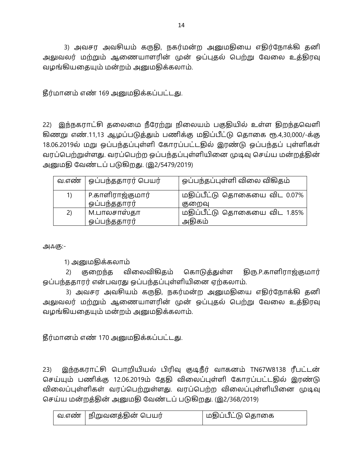3) அவசர அவசியம் கருதி, நகர்மன்ற அனுமதியை எதிர்நோக்கி தனி அலுவலர் மற்றும் ஆணையாளரின் முன் ஒப்புதல் பெற்று வேலை உத்திரவு வழங்கியதையும் மன்றம் அனுமதிக்கலாம்.

தீர்மானம் எண் 169 அனுமதிக்கப்பட்டது.

22) இந்நகராட்சி கலைமை நீரேற்று நிலையம் பகுதியில் உள்ள திறந்தவெளி கிணறு எண்.11,13 ஆழப்படுத்தும் பணிக்கு மதிப்பீட்டு தொகை ரூ.4,30,000/-க்கு 18.06.2019ல் மறு ஒப்பந்தப்புள்ளி கோரப்பட்டதில் இரண்டு ஒப்பந்தப் புள்ளிகள் வரப்பெற்றுள்ளது. வரப்பெற்ற ஒப்பந்தப்புள்ளியினை முடிவு செய்ய மன்றத்தின் அனுமதி வேண்டப் படுகிறது. (இ2/5479/2019)

| வ.எண் | ஒப்பந்ததாரர் பெயர் | ஒப்பந்தப்புள்ளி விலை விகிதம் |
|-------|--------------------|------------------------------|
| 1)    | P.காளிராஜ்குமார்   | மதிப்பீட்டு தொகையை விட 0.07% |
|       | ஒப்பந்ததாரர்       | குறைவு                       |
| 2)    | 1.பாலசாஸ்தா        | மதிப்பீட்டு தொகையை விட 1.85% |
|       | ஒப்பந்ததாரர்       | அதிகம்                       |

அஃகு:-

1) அனுமதிக்கலாம்

2) குறைந்த விலைவிகிதம் கொடுத்துள்ள திரு.P.காளிராஜ்குமார் ஒப்பந்ததாரர் என்பவரது ஒப்பந்தப்புள்ளியினை ஏற்கலாம்.

3) அவசர அவசியம் கருதி, நகர்மன்ற அனுமதியை எதிர்நோக்கி தனி அலுவலர் மற்றும் ஆணையாளரின் முன் ஒப்புதல் பெற்று வேலை உத்திரவு வழங்கியதையும் மன்றம் அனுமதிக்கலாம்.

தீர்மானம் எண் 170 அனுமதிக்கப்பட்டது.

23) இந்நகராட்சி பொறியியல் பிரிவு குடிநீர் வாகனம் TN67W8138 ரீபட்டன் செய்யும் பணிக்கு 12.06.2019ம் தேதி விலைப்புள்ளி கோரப்பட்டதில் இரண்டு விலைப்புள்ளிகள் வரப்பெற்றுள்ளது. வரப்பெற்ற விலைப்புள்ளியினை முடிவு செய்ய மன்றத்தின் அனுமதி வேண்டப் படுகிறது. (இ2/368/2019)

| வ.எண்   நிறுவனத்தின் பெயர் | மதிப்பீட்டு தொகை |
|----------------------------|------------------|
|                            |                  |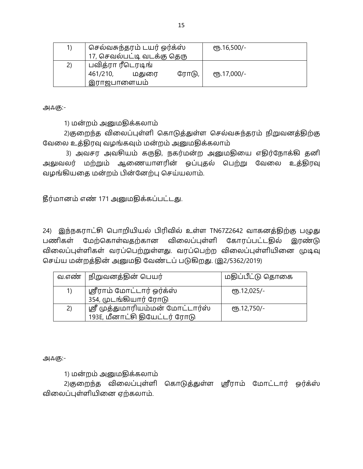| 1) | செல்வசுந்தரம் டயர் ஒர்க்ஸ் |       | <b>е</b> љ.16,500/- |
|----|----------------------------|-------|---------------------|
|    | 17, செவல்பட்டி வடக்கு தெரு |       |                     |
| 2) | பவித்ரா ரீடெரடிங்          |       |                     |
|    | மதுரை<br>461/210,          | ரோடு, | ељ.17,000/-         |
|    | இராஜபாளையம்                |       |                     |

1) மன்றம் அனுமதிக்கலாம்

2)குறைந்த விலைப்புள்ளி கொடுத்துள்ள செல்வசுந்தரம் நிறுவனத்திற்கு வேலை உத்திரவு வழங்கவும் மன்றம் அனுமதிக்கலாம்

3) அவசர அவசியம் கருதி, நகர்மன்ற அனுமதியை எதிர்நோக்கி தனி அலுவலர் மற்றும் ஆணையாளரின் ஒப்புதல் பெற்று வேலை உத்திரவு வழங்கியதை மன்றம் பின்னேற்பு செய்யலாம்.

தீர்மானம் எண் 171 அனுமதிக்கப்பட்டது.

24) இந்நகராட்சி பொறியியல் பிரிவில் உள்ள TN67Z2642 வாகனத்திற்கு பழுது பணிகள் மேற்கொள்வதற்கான விலைப்புள்ளி கோரப்பட்டதில் இரண்டு விலைப்புள்ளிகள் வரப்பெற்றுள்ளது. வரப்பெற்ற விலைப்புள்ளியினை முடிவு செய்ய மன்றத்தின் அனுமதி வேண்டப் படுகிறது. (இ2/5362/2019)

|    | வ.எண்   நிறுவனத்தின் பெயர்                                        | மதிப்பீட்டு தொகை |
|----|-------------------------------------------------------------------|------------------|
| 1) | ஸ்ரீராம் மோட்டார் ஒர்க்ஸ்                                         | $(Tb.12,025/-$   |
|    | 354, முடங்கியார் ரோடு                                             |                  |
| 2) | ஸ்ரீ முத்துமாரியம்மன் மோட்டார்ஸ்<br>193E, மீனாட்சி தியேட்டர் ரோடு | $(T5.12,750)$ -  |

அஃகு:-

1) மன்றம் அனுமதிக்கலாம்

2)குறைந்த விலைப்புள்ளி கொடுத்துள்ள ஸ்ரீராம் மோட்டார் ஒர்க்ஸ் விலைப்புள்ளியினை ஏற்கலாம்.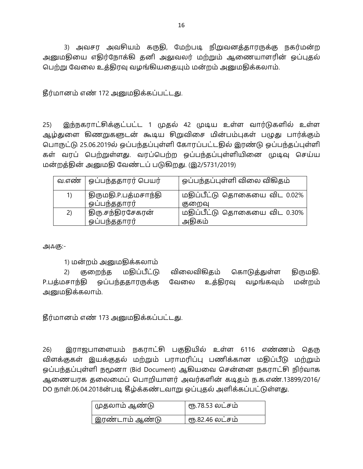3) அவசர அவசியம் கருதி, மேற்படி நிறுவனத்தாரருக்கு நகர்மன்ற அனுமதியை எதிர்நோக்கி தனி அலுவலர் மற்றும் ஆணையாளரின் ஒப்புதல் பெற்று வேலை உத்திரவு வழங்கியதையும் மன்றம் அனுமதிக்கலாம்.

தீர்மானம் எண் 172 அனுமதிக்கப்பட்டது.

 $25)$ இந்நகராட்சிக்குட்பட்ட 1 முதல் 42 முடிய உள்ள வார்டுகளில் உள்ள ஆழ்துளை கிணறுகளுடன் கூடிய சிறுவிசை மின்பம்புகள் பழுது பார்க்கும் பொருட்டு 25.06.2019ல் ஒப்பந்தப்புள்ளி கோரப்பட்டதில் இரண்டு ஒப்பந்தப்புள்ளி கள் வரப் பெற்றுள்ளது. வரப்பெற்ற ஒப்பந்தப்புள்ளியினை முடிவு செய்ய மன்றத்தின் அனுமதி வேண்டப் படுகிறது. (இ2/5731/2019)

| வ.எண் | <sup>।</sup> ஒப்பந்ததாரர் பெயர் | ஒப்பந்தப்புள்ளி விலை விகிதம் |
|-------|---------------------------------|------------------------------|
| 1)    | திருமதி.P.பத்மசாந்தி            | மதிப்பீட்டு தொகையை விட 0.02% |
|       | ஒப்பந்ததாரர்                    | குறைவு                       |
| 2)    | திரு.சந்திரசேகரன்               | மதிப்பீட்டு தொகையை விட 0.30% |
|       | ஒப்பந்ததாரர்                    | அதிகம்                       |

அஃகு:-

1) மன்றம் அனுமதிக்கலாம்

 $(2)$ குறைந்த மதிப்பீட்டு விலைவிகிதம் கொடுத்துள்ள திருமதி. ஒப்பந்ததாரருக்கு P.பத்மசாந்தி வேலை உக்கிரவு வழங்கவும் மன்றம் அனுமதிக்கலாம்.

தீர்மானம் எண் 173 அனுமதிக்கப்பட்டது.

இராஜபாளையம் நகராட்சி பகுதியில் உள்ள 6116 எண்ணம் கெரு  $26)$ விளக்குகள் இயக்குதல் மற்றும் பராமரிப்பு பணிக்கான மதிப்பீடு மற்றும் ஒப்பந்தப்புள்ளி நமூனா (Bid Document) ஆகியவை சென்னை நகராட்சி நிர்வாக ஆணையரக தலைமைப் பொறியாளர் அவர்களின் கடிதம் ந.க.எண்.13899/2016/ DO நாள்.06.04.2018ன்படி கீழ்க்கண்டவாறு ஒப்புதல் அளிக்கப்பட்டுள்ளது.

| முதலாம் ஆண்டு    | ரூ.78.53 லட்சம் |
|------------------|-----------------|
| ' இரண்டாம் ஆண்டு | ரூ.82.46 லட்சம் |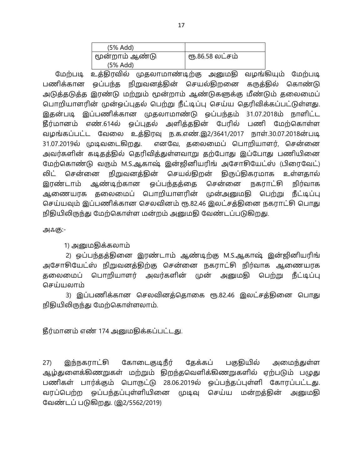| (5% Add)       |                 |
|----------------|-----------------|
| மூன்றாம் ஆண்டு | ரூ.86.58 லட்சம் |
| (5% Add)       |                 |

மேற்படி உத்திரவில் முதலாமாண்டிற்கு அனுமதி வழங்கியும் மேற்படி பணிக்கான ஒப்பந்த நிறுவனத்தின் செயல்திறனை கருத்தில் கொண்டு அடுத்தடுத்த இரண்டு மற்றும் மூன்றாம் ஆண்டுகளுக்கு மீண்டும் தலைமைப் பொறியாளரின் முன்ஒப்புதல் பெற்று நீட்டிப்பு செய்ய தெரிவிக்கப்பட்டுள்ளது. இதன்படி இப்பணிக்கான முதலாமாண்டு ஒப்பந்தம் 31.07.2018ம் நாளிட்ட தீர்மானம் எண்.614ல் ஒப்புதல் அளித்ததின் பேரில் பணி மேற்கொள்ள வழங்கப்பட்ட வேலை உத்திரவு ந.க.எண்.இ2/3641/2017 நாள்.30.07.2018ன்படி 31.07.2019ல் முடிவடைகிறது. எனவே, தலைமைப் பொறியாளர், சென்னை அவர்களின் கடிதத்தில் தெரிவித்துள்ளவாறு தற்போது இப்போது பணியினை மேற்கொண்டு வரும் M.S.ஆகாஷ் இன்ஜினியரிங் அசோசியேட்ஸ் (பிரைவேட்) லிட் சென்னை நிறுவனத்தின் செயல்திறன் திருப்திகரமாக உள்ளதால் இரண்டாம் ஆண்டிற்கான ஒப்பந்தத்தை சென்னை நகராட்சி நிர்வாக ஆணையரக தலைமைப் பொறியாளரின் முன்அனுமதி பெற்று நீட்டிப்பு செய்யவும் இப்பணிக்கான செலவினம் ரூ.82.46 இலட்சத்தினை நகராட்சி பொது நிதியிலிருந்து மேற்கொள்ள மன்றம் அனுமதி வேண்டப்படுகிறது.

அஃகு:-

1) அனுமதிக்கலாம்

2) ஒப்பந்தத்தினை இரண்டாம் ஆண்டிற்கு M.S.ஆகாஷ் இன்ஜினியரிங் அசோசியேட்ஸ் நிறுவனத்திற்கு சென்னை நகராட்சி நிர்வாக ஆணையரக தலைமைப் பொறியாளர் அவர்களின் முன் அனுமதி பெற்று நீட்டிப்பு செய்யலாம்

3) இப்பணிக்கான செலவினத்தொகை ரூ.82.46 இலட்சத்தினை பொது நிதியிலிருந்து மேற்கொள்ளலாம்.

தீர்மானம் எண் 174 அனுமதிக்கப்பட்டது.

27) இந்நகராட்சி கோடைகுடிநீர் கேக்கப் பகுதியில் அமைந்துள்ள ஆழ்துளைக்கிணறுகள் மற்றும் திறந்தவெளிக்கிணறுகளில் ஏற்படும் பழுது பணிகள் பார்க்கும் பொருட்டு 28.06.2019ல் ஒப்பந்தப்புள்ளி கோரப்பட்டது. வரப்பெற்ற ஒப்பந்தப்புள்ளியினை முடிவு செய்ய மன்றத்தின் அனுமதி வேண்டப் படுகிறது. (இ2/5562/2019)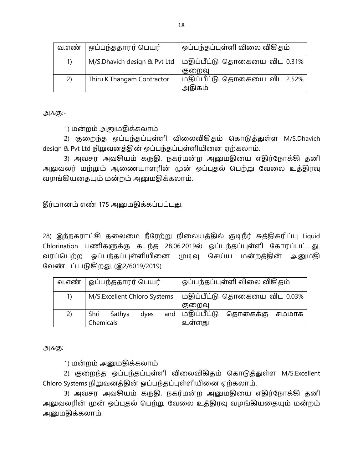|    | வ.எண்   ஒப்பந்ததாரர் பெயர் | ஒப்பந்தப்புள்ளி விலை விகிதம்                                |
|----|----------------------------|-------------------------------------------------------------|
| 1) |                            | M/S.Dhavich design & Pvt Ltd   மதிப்பீட்டு தொகையை விட 0.31% |
|    |                            | குறைவு                                                      |
| 2) | Thiru.K.Thangam Contractor | மதிப்பீட்டு தொகையை விட 2.52%                                |
|    |                            | அதிகம்                                                      |

1) மன்றம் அனுமதிக்கலாம்

2) குறைந்த ஒப்பந்தப்புள்ளி விலைவிகிதம் கொடுத்துள்ள M/S.Dhavich design & Pvt Ltd நிறுவனத்தின் ஒப்பந்தப்புள்ளியினை ஏற்கலாம்.

3) அவசர அவசியம் கருதி, நகர்மன்ற அனுமதியை எதிர்நோக்கி தனி அலுவலர் மற்றும் ஆணையாளரின் முன் ஒப்புதல் பெற்று வேலை உத்திரவு வழங்கியதையும் மன்றம் அனுமதிக்கலாம்.

தீர்மானம் எண் 175 அனுமதிக்கப்பட்டது.

28) இந்நகராட்சி தலைமை நீரேற்று நிலையத்தில் குடிநீர் சுத்திகரிப்பு Liquid Chlorination பணிகளுக்கு கடந்த 28.06.2019ல் ஓப்பந்தப்புள்ளி கோரப்பட்டது. வரப்பெற்ற ஒப்பந்தப்புள்ளியினை முடிவு செய்ய மன்றத்தின் அனுமதி வேண்டப் படுகிறது. (இ2/6019/2019)

| வ.எண் | ஒப்பந்ததாரர் பெயர்            | ஒப்பந்தப்புள்ளி விலை விகிதம்  |
|-------|-------------------------------|-------------------------------|
| 1)    | M/S.Excellent Chloro Systems  | மதிப்பீட்டு தொகையை விட 0.03%  |
|       |                               | குறைவு                        |
| 2)    | and<br>Shri<br>Sathya<br>dyes | மதிப்பீட்டு<br>தொகைக்கு சமமாக |
|       | Chemicals                     | உள்ளது                        |

அஃகு:-

1) மன்றம் அனுமதிக்கலாம்

2) குறைந்த ஒப்பந்தப்புள்ளி விலைவிகிதம் கொடுத்துள்ள M/S.Excellent Chloro Systems நிறுவனத்தின் ஒப்பந்தப்புள்ளியினை ஏற்கலாம்.

3) அவசர அவசியம் கருதி, நகர்மன்ற அனுமதியை எதிர்நோக்கி தனி அலுவலரின் முன் ஒப்புதல் பெற்று வேலை உத்திரவு வழங்கியதையும் மன்றம் அனுமதிக்கலாம்.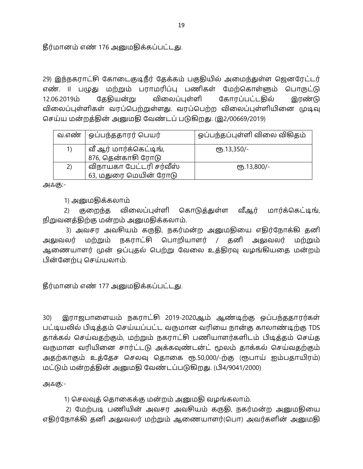தீர்மானம் எண் 176 அனுமதிக்கப்பட்டது.

29) இந்நகராட்சி கோடைகுடிநீர் தேக்கம் பகுதியில் அமைந்துள்ள ஜெனரேட்டர் எண். ll பழுது மற்றும் பராமரிப்பு பணிகள் மேற்கொள்ளும் பொருட்டு கேகியன்று விலைப்புள்ளி 12.06.2019 கோரப்பட்டகில் இரண்டு விலைப்புள்ளிகள் வரப்பெற்றுள்ளது. வரப்பெற்ற விலைப்புள்ளியினை முடிவு செய்ய மன்றத்தின் அனுமதி வேண்டப் படுகிறது. (இ2/00669/2019)

|    | வ.எண்   ஒப்பந்ததாரர் பெயர்                   | ஒப்பந்தப்புள்ளி விலை விகிதம் |
|----|----------------------------------------------|------------------------------|
| 1) | வீ ஆர் மார்க்கெட்டிங்,<br>876, தென்காசி ரோடு | eҧ.13,350/-                  |
|    |                                              |                              |
| 2) | விநாயகா பேட்டரி சர்வீஸ்                      | $(T5.13,800/-$               |
|    | 63, மதுரை மெயின் ரோடு                        |                              |

அஃகு:-

1) அனுமதிக்கலாம்

2) குறைந்த விலைப்புள்ளி கொடுத்துள்ள வீஆர் மார்க்கெட்டிங், நிறுவனத்திற்கு மன்றம் அனுமதிக்கலாம்.

3) அவசர அவசியம் கருதி, நகர்மன்ற அனுமதியை எதிர்நோக்கி தனி அலுவலர் மற்றும் நகராட்சி பொறியாளர் / தனி அலுவலர் மற்றும் ஆணையாளர் முன் ஒப்புதல் பெற்று வேலை உத்திரவு வழங்கியதை மன்றம் பின்னேற்பு செய்யலாம்.

தீர்மானம் எண் 177 அனுமதிக்கப்பட்டது.

30) இராஜபாளையம் நகராட்சி 2019-2020ஆம் ஆண்டிற்கு ஒப்பந்ததாரர்கள் பட்டியலில் பிடித்தம் செய்யப்பட்ட வருமான வரியை நான்கு காலாண்டிற்கு TDS தாக்கல் செய்வதற்கும், மற்றும் நகராட்சி பணியாளர்களிடம் பிடித்தம் செய்த வருமான வரியினை சார்ட்டடு அக்கவுண்டன்ட் மூலம் தாக்கல் செய்வதற்கும் அதற்காகும் உத்தேச செலவு தொகை ரூ.50,000/-ற்கு (ரூபாய் ஐம்பதாயிரம்) மட்டும் மன்றத்தின் அனுமதி வேண்டப்படுகிறது. (பி4/9041/2000)

அஃகு:-

1) செலவுத் தொகைக்கு மன்றம் அனுமதி வழங்கலாம்.

2) மேற்படி பணியின் அவசர அவசியம் கருதி, நகர்மன்ற அனுமதியை எதிர்நோக்கி தனி அலுவலர் மற்றும் ஆணையாளர்(பொ) அவர்களின் அனுமதி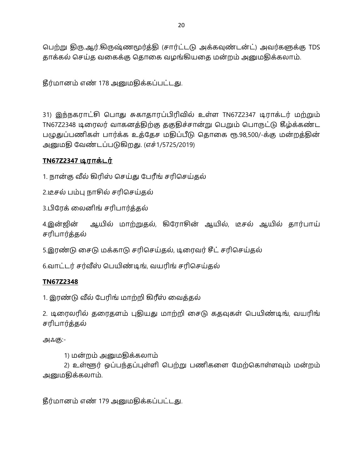பெற்று திரு.ஆர்.கிருஷ்ணமூர்த்தி (சார்ட்டடு அக்கவுண்டன்ட்) அவர்களுக்கு TDS தாக்கல் செய்த வகைக்கு தொகை வழங்கியதை மன்றம் அனுமதிக்கலாம்.

தீர்மானம் எண் 178 அனுமதிக்கப்பட்டது.

31) இந்நகராட்சி பொது சுகாதாரப்பிரிவில் உள்ள TN67Z2347 டிராக்டர் மற்றும் TN67Z2348 டிரைலர் வாகனத்திற்கு தகுதிச்சான்று பெறும் பொருட்டு கீழ்க்கண்ட பழுதுப்பணிகள் பார்க்க உத்தேச மதிப்பீடு தொகை ரூ.98,500/-க்கு மன்றத்தின் அனுமதி வேண்டப்படுகிறது. (எச்1/5725/2019)

# TN67Z2347 டிராக்டர்

1. நான்கு வீல் கிரிஸ் செய்து பேரீங் சரிசெய்தல்

2.டீசல் பம்பு நாசில் சரிசெய்தல்

3.பிரேக் லைனிங் சரிபார்த்தல்

4.இன்ஜின் ஆயில் மாற்றுதல், கிரோசின் ஆயில், டீசல் ஆயில் தார்பாய் சரிபார்த்தல்

5.இரண்டு சைடு மக்காடு சரிசெய்தல், டிரைவர் சீட் சரிசெய்தல்

6.வாட்டர் சர்வீஸ் பெயிண்டிங், வயரிங் சரிசெய்தல்

### **TN67Z2348**

1. இரண்டு வீல் பேரிங் மாற்றி கிரீஸ் வைத்தல்

2. டிரைலரில் தரைதளம் புதியது மாற்றி சைடு கதவுகள் பெயிண்டிங், வயரிங் சரிபார்த்தல்

அஃகு:-

1) மன்றம் அனுமதிக்கலாம்

2) உள்ளூர் ஒப்பந்தப்புள்ளி பெற்று பணிகளை மேற்கொள்ளவும் மன்றம் அனுமதிக்கலாம்.

தீர்மானம் எண் 179 அனுமதிக்கப்பட்டது.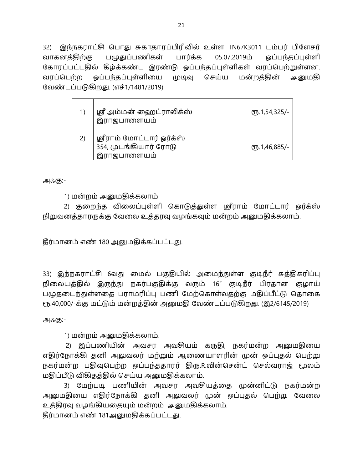32) இந்நகராட்சி பொது சுகாதாரப்பிரிவில் உள்ள TN67K3011 டம்பர் பிளேசர் فا05.07.2019 வாகனத்திற்கு பழுதுப்பணிகள் பார்க்க ஒப்பந்தப்புள்ளி கோரப்பட்டதில் கீழ்க்கண்ட இரண்டு ஒப்பந்தப்புள்ளிகள் வரப்பெற்றுள்ளன. வரப்பெற்ற ஒப்பந்தப்புள்ளியை முடிவு செய்ய மன்றத்தின் அனுமகி வேண்டப்படுகிறது. (எச்1/1481/2019)

| 1)  | ஸ்ரீ அம்மன் ஹைட்ராலிக்ஸ்<br>இராஜபாளையம்                           | <b>e</b> 5.1,54,325/- |
|-----|-------------------------------------------------------------------|-----------------------|
| (2) | ஸ்ரீராம் மோட்டார் ஒர்க்ஸ்<br>354, முடங்கியார் ரோடு<br>இராஜபாளையம் | ரூ.1,46,885/-         |

அஃகு:-

1) மன்றம் அனுமதிக்கலாம்

2) குறைந்த விலைப்புள்ளி கொடுத்துள்ள ஸ்ரீராம் மோட்டார் ஒர்க்ஸ் நிறுவனத்தாரருக்கு வேலை உத்தரவு வழங்கவும் மன்றம் அனுமதிக்கலாம்.

தீர்மானம் எண் 180 அனுமதிக்கப்பட்டது.

33) இந்நகராட்சி 6வது மைல் பகுதியில் அமைந்துள்ள குடிநீர் சுத்திகரிப்பு நிலையத்தில் இருந்து நகர்பகுதிக்கு வரும் 16" குடிநீர் பிரதான குழாய் பழுதடைந்துள்ளதை பராமரிப்பு பணி மேற்கொள்வதற்கு மதிப்பீட்டு தொகை ரூ.40,000/-க்கு மட்டும் மன்றத்தின் அனுமதி வேண்டப்படுகிறது. (இ2/6145/2019)

அஃகு:-

1) மன்றம் அனுமதிக்கலாம்.

2) இப்பணியின் அவசர அவசியம் கருதி, நகர்மன்ற அனுமதியை எதிர்நோக்கி தனி அலுவலர் மற்றும் ஆணையாளரின் முன் ஒப்புதல் பெற்று நகர்மன்ற பதிவுபெற்ற ஒப்பந்ததாரர் திரு.R.வின்சென்ட் செல்வராஜ் மூலம் மதிப்பீடு விகிதத்தில் செய்ய அனுமதிக்கலாம்.

3) மேற்படி பணியின் அவசர அவசியத்தை முன்னிட்டு நகர்மன்ற அனுமகியை எதிர்நோக்கி தனி அலுவலர் முன் ஒப்புதல் பெற்று வேலை உத்திரவு வழங்கியதையும் மன்றம் அனுமதிக்கலாம்.

தீர்மானம் எண் 181அனுமதிக்கப்பட்டது.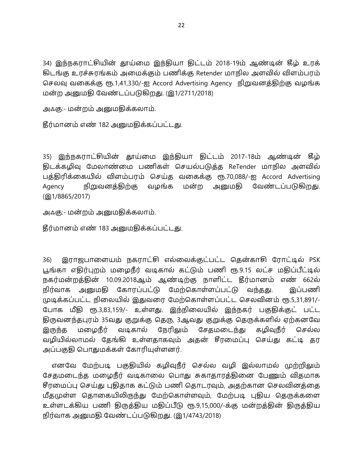34) இந்நகராட்சியின் தாய்மை இந்தியா திட்டம் 2018-19ம் ஆண்டின் கீழ் உரக் கிடங்கு உரச்சுரங்கம் அமைக்கும் பணிக்கு Retender மாநில அளவில் விளம்பரம் செலவு வகைக்கு ரூ.1,41,330/-ஐ Accord Advertising Agency நிறுவனத்திற்கு வழங்க மன்ற அனுமதி வேண்டப்படுகிறது. (இ1/2711/2018)

அஃகு:- மன்றம் அனுமதிக்கலாம்.

தீர்மானம் எண் 182 அனுமதிக்கப்பட்டது.

35) இந்நகராட்சியின் தூய்மை இந்தியா திட்டம் 2017-18ம் ஆண்டின் கீழ் கிடக்கழிவு மேலாண்மை பணிகள் செயல்படுக்க ReTender மாநில அளவில் பத்திரிக்கையில் விளம்பரம் செய்த வகைக்கு ரூ.70,088/-ஐ Accord Advertising Agency நிறுவனத்திற்கு வழங்க மன்ற அனுமதி வேண்டப்படுகிறது. (g) 1/8865/2017)

அஃகு:- மன்றம் அனுமதிக்கலாம்.

தீர்மானம் எண் 183 அனுமதிக்கப்பட்டது.

36) இராஜபாளையம் நகராட்சி எல்லைக்குட்பட்ட தென்காசி ரோட்டில் PSK பூங்கா எதிர்புறம் மழைநீர் வடிகால் கட்டும் பணி ரூ.9.15 லட்ச மதிப்பீட்டில் நகர்மன்றத்தின் 10.09.2018ஆம் ஆண்டிற்கு நாளிட்ட தீர்மானம் எண் 662ல் நிர்வாக அனுமதி கோரப்பட்டு மேற்கொள்ளப்பட்டு வந்தது. இப்பணி முடிக்கப்பட்ட நிலையில் இதுவரை மேற்கொள்ளப்பட்ட செலவினம் ரூ.5,31,891/-போக மீதி ரூ.3,83,159/- உள்ளது. இந்நிலையில் இந்நகர் பகுதிக்குட் பட்ட திருவனந்தபுரம் 35வது குறுக்கு தெரு, 3ஆவது குறுக்கு தெருக்களில் ஏற்கனவே இருந்த மழைநீர் வடிகால் நேரிலும் சேதமடைந்து கழிவுநீர் செல்ல வழியில்லாமல் தேங்கி உள்ளதாகவும் அதன் சீரமைப்பு செய்து கட்டி தர அப்பகுதி பொதுமக்கள் கோரியுள்ளனர்.

எனவே மேற்படி பகுதியில் கழிவுநீர் செல்ல வழி இல்லாமல் முற்றிலும் சேதமடைந்த மழைநீர் வடிகாலை பொது சுகாதாரத்தினை பேணும் விதமாக சீரமைப்பு செய்து புதிதாக கட்டும் பணி கொடரவும், அகற்கான செலவினக்கை மீதமுள்ள தொகையிலிருந்து மேற்கொள்ளவும், மேற்படி புதிய தெருக்களை உள்ளடக்கிய பணி திருத்திய மதிப்பீடு ரூ.9,15,000/-க்கு மன்றத்தின் திருத்திய நிர்வாக அனுமதி வேண்டப்படுகிறது. (இ1/4743/2018)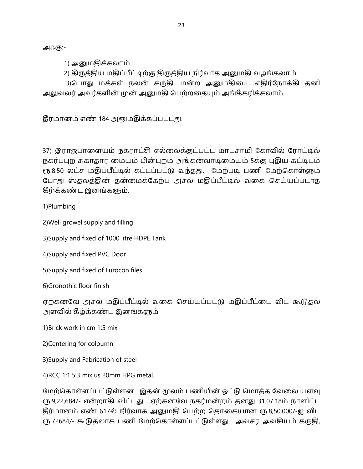1) அனுமதிக்கலாம்.

2) திருத்திய மதிப்பீட்டிற்கு திருத்திய நிர்வாக அனுமதி வழங்கலாம்.

3)பொது மக்கள் நலன் கருதி, மன்ற அனுமதியை எதிர்நோக்கி தனி அலுவலர் அவர்களின் முன் அனுமதி பெற்றதையும் அங்கீகரிக்கலாம்.

தீர்மானம் எண் 184 அனுமதிக்கப்பட்டது.

37) இராஜபாளையம் நகராட்சி எல்லைக்குட்பட்ட மாடசாமி கோவில் ரோட்டில் நகர்ப்புற சுகாதார மையம் பின்புறம் அங்கன்வாடிமையம் 5க்கு புதிய கட்டிடம் ரூ.8.50 லட்ச மதிப்பீட்டில் கட்டப்பட்டு வந்தது. மேற்படி பணி மேற்கொள்ளும் போது ஸ்தலத்தின் தன்மைக்கேற்ப அசல் மதிப்பீட்டில் வகை செய்யப்படாத தீழ்க்கண்ட இனங்களும்,

1)Plumbing

2) Well growel supply and filling

3) Supply and fixed of 1000 litre HDPE Tank

4) Supply and fixed PVC Door

5) Supply and fixed of Eurocon files

6) Gronothic floor finish

ஏற்கனவே அசல் மதிப்பீட்டில் வகை செய்யப்பட்டு மதிப்பீட்டை விட கூடுதல் அளவில் கீழ்க்கண்ட இனங்களும்

1) Brick work in cm 1:5 mix

2) Centering for coloumn

3) Supply and Fabrication of steel

4) RCC 1:1.5:3 mix us 20mm HPG metal.

மேற்கொள்ளப்பட்டுள்ளன. இதன் மூலம் பணியின் ஒட்டு மொத்த வேலை யளவு ரூ.9,22,684/- என்றாகி விட்டது. எற்கனவே நகர்மன்றம் தனது 31.07.18ம் நாளிட்ட தீர்மானம் எண் 617ல் நிர்வாக அனுமதி பெற்ற தொகையான ரூ.8,50,000/-ஐ விட ரூ.72684/- கூடுதலாக பணி மேற்கொள்ளப்பட்டுள்ளது. அவசர அவசியம் கருதி,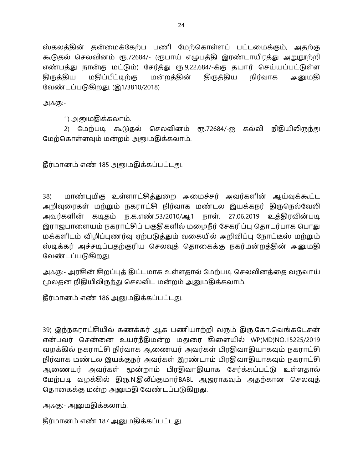ஸ்தலத்தின் தன்மைக்கேற்ப பணி மேற்கொள்ளப் பட்டமைக்கும், அதற்கு கூடுதல் செலவினம் ரூ.72684/- (ரூபாய் எழுபத்தி இரண்டாயிரத்து அறுநூற்றி எண்பத்து நான்கு மட்டும்) சேர்த்து ரூ.9,22,684/-க்கு தயார் செய்யப்பட்டுள்ள கிருக்கிய மதிப்பீட்டிற்கு மன்றத்தின் திருத்திய நிர்வாக அனுமகி வேண்டப்படுகிறது. (இ1/3810/2018)

அஃகு:-

1) அனுமதிக்கலாம்.

2) மேற்படி கூடுதல் செலவினம் ரூ.72684/-ஐ கல்வி நிதியிலிருந்து மேற்கொள்ளவும் மன்றம் அனுமதிக்கலாம்.

தீர்மானம் எண் 185 அனுமதிக்கப்பட்டது.

மாண்புமிகு உள்ளாட்சித்துறை அமைச்சர் அவர்களின் ஆய்வுக்கூட்ட 38) அறிவுரைகள் மற்றும் நகராட்சி நிர்வாக மண்டல இயக்கநர் திருநெல்வேலி அவர்களின் கடிதம் ந.க.எண்.53/2010/ஆ1 நாள். 27.06.2019 உத்திரவின்படி இராஜபாளையம் நகராட்சிப் பகுதிகளில் மழைநீர் சேகரிப்பு தொடர்பாக பொது மக்களிடம் விழிப்புணர்வு ஏற்படுத்தும் வகையில் அறிவிப்பு நோட்டீஸ் மற்றும் ஸ்டிக்கர் அச்சடிப்பதற்குரிய செலவுத் தொகைக்கு நகர்மன்றத்தின் அனுமதி வேண்டப்படுகிறது.

அஃகு:- அரசின் சிறப்புத் திட்டமாக உள்ளதால் மேற்படி செலவினத்தை வருவாய் மூலதன நிதியிலிருந்து செலவிட மன்றம் அனுமதிக்கலாம்.

தீர்மானம் எண் 186 அனுமதிக்கப்பட்டது.

39) இந்நகராட்சியில் கணக்கர் ஆக பணியாற்றி வரும் திரு.கோ.வெங்கடேசன் என்பவர் சென்னை உயர்நீதிமன்ற மதுரை கிளையில் WP(MD)NO.15225/2019 வழக்கில் நகராட்சி நிர்வாக ஆணையர் அவர்கள் பிரதிவாதியாகவும் நகராட்சி நிர்வாக மண்டல இயக்குநர் அவர்கள் இரண்டாம் பிரதிவாதியாகவும் நகராட்சி ஆணையர் அவர்கள் மூன்றாம் பிரதிவாதியாக சேர்க்கப்பட்டு உள்ளதால் மேற்படி வழக்கில் திரு.N.திலீப்குமார்BABL ஆஜராகவும் அதற்கான செலவுத் தொகைக்கு மன்ற அனுமதி வேண்டப்படுகிறது.

அஃகு:- அனுமதிக்கலாம்.

தீர்மானம் எண் 187 அனுமதிக்கப்பட்டது.